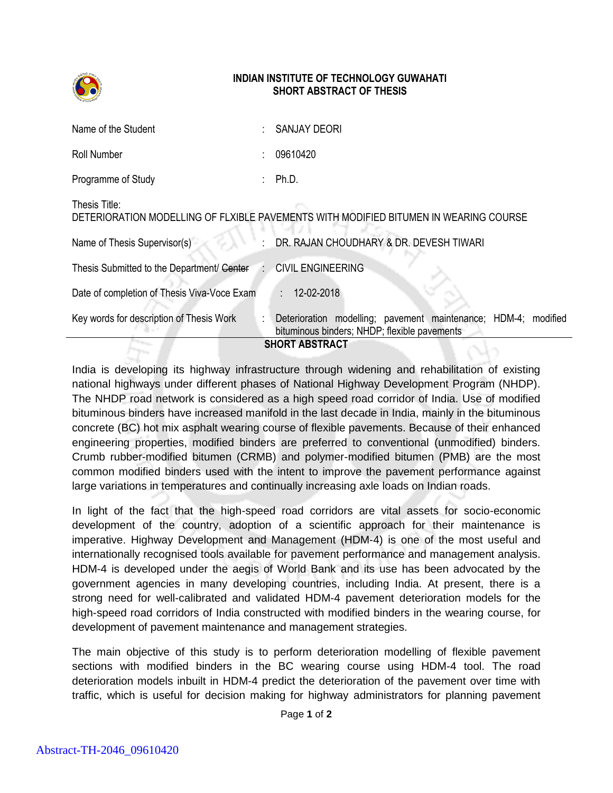

## **INDIAN INSTITUTE OF TECHNOLOGY GUWAHATI SHORT ABSTRACT OF THESIS**

| Name of the Student                          |   | SANJAY DEORI                                                                                                             |
|----------------------------------------------|---|--------------------------------------------------------------------------------------------------------------------------|
| Roll Number                                  |   | 09610420                                                                                                                 |
| Programme of Study                           |   | Ph.D.                                                                                                                    |
| Thesis Title:                                |   | DETERIORATION MODELLING OF FLXIBLE PAVEMENTS WITH MODIFIED BITUMEN IN WEARING COURSE                                     |
| Name of Thesis Supervisor(s)                 |   | DR. RAJAN CHOUDHARY & DR. DEVESH TIWARI                                                                                  |
| Thesis Submitted to the Department/ Center : |   | <b>CIVIL ENGINEERING</b>                                                                                                 |
| Date of completion of Thesis Viva-Voce Exam  |   | 12-02-2018<br>G.                                                                                                         |
| Key words for description of Thesis Work     | ÷ | modelling; pavement maintenance;<br>$HDM-4$<br>Deterioration<br>modified<br>bituminous binders; NHDP; flexible pavements |
| <b>SHORT ABSTRACT</b>                        |   |                                                                                                                          |

India is developing its highway infrastructure through widening and rehabilitation of existing national highways under different phases of National Highway Development Program (NHDP). The NHDP road network is considered as a high speed road corridor of India. Use of modified bituminous binders have increased manifold in the last decade in India, mainly in the bituminous concrete (BC) hot mix asphalt wearing course of flexible pavements. Because of their enhanced engineering properties, modified binders are preferred to conventional (unmodified) binders. Crumb rubber-modified bitumen (CRMB) and polymer-modified bitumen (PMB) are the most common modified binders used with the intent to improve the pavement performance against large variations in temperatures and continually increasing axle loads on Indian roads.

In light of the fact that the high-speed road corridors are vital assets for socio-economic development of the country, adoption of a scientific approach for their maintenance is imperative. Highway Development and Management (HDM-4) is one of the most useful and internationally recognised tools available for pavement performance and management analysis. HDM-4 is developed under the aegis of World Bank and its use has been advocated by the government agencies in many developing countries, including India. At present, there is a strong need for well-calibrated and validated HDM-4 pavement deterioration models for the high-speed road corridors of India constructed with modified binders in the wearing course, for development of pavement maintenance and management strategies.

The main objective of this study is to perform deterioration modelling of flexible pavement sections with modified binders in the BC wearing course using HDM-4 tool. The road deterioration models inbuilt in HDM-4 predict the deterioration of the pavement over time with traffic, which is useful for decision making for highway administrators for planning pavement